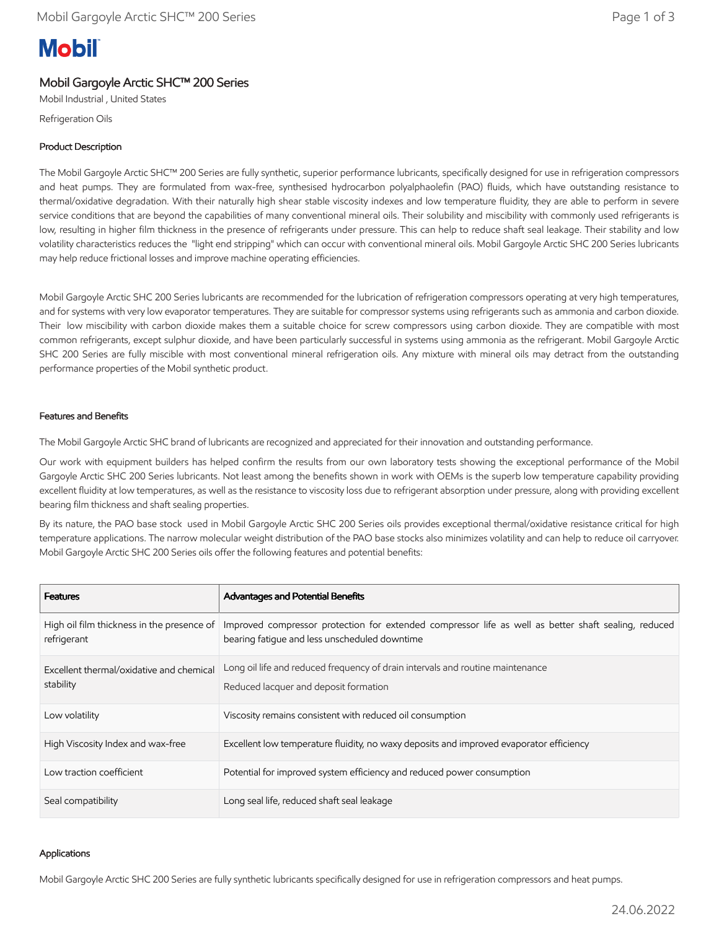# **Mobil**

# Mobil Gargoyle Arctic SHC™ 200 Series

Mobil Industrial , United States

Refrigeration Oils

## Product Description

The Mobil Gargoyle Arctic SHC™ 200 Series are fully synthetic, superior performance lubricants, specifically designed for use in refrigeration compressors and heat pumps. They are formulated from wax-free, synthesised hydrocarbon polyalphaolefin (PAO) fluids, which have outstanding resistance to thermal/oxidative degradation. With their naturally high shear stable viscosity indexes and low temperature fluidity, they are able to perform in severe service conditions that are beyond the capabilities of many conventional mineral oils. Their solubility and miscibility with commonly used refrigerants is low, resulting in higher film thickness in the presence of refrigerants under pressure. This can help to reduce shaft seal leakage. Their stability and low volatility characteristics reduces the "light end stripping" which can occur with conventional mineral oils. Mobil Gargoyle Arctic SHC 200 Series lubricants may help reduce frictional losses and improve machine operating efficiencies.

Mobil Gargoyle Arctic SHC 200 Series lubricants are recommended for the lubrication of refrigeration compressors operating at very high temperatures, and for systems with very low evaporator temperatures. They are suitable for compressor systems using refrigerants such as ammonia and carbon dioxide. Their low miscibility with carbon dioxide makes them a suitable choice for screw compressors using carbon dioxide. They are compatible with most common refrigerants, except sulphur dioxide, and have been particularly successful in systems using ammonia as the refrigerant. Mobil Gargoyle Arctic SHC 200 Series are fully miscible with most conventional mineral refrigeration oils. Any mixture with mineral oils may detract from the outstanding performance properties of the Mobil synthetic product.

## Features and Benefits

The Mobil Gargoyle Arctic SHC brand of lubricants are recognized and appreciated for their innovation and outstanding performance.

Our work with equipment builders has helped confirm the results from our own laboratory tests showing the exceptional performance of the Mobil Gargoyle Arctic SHC 200 Series lubricants. Not least among the benefits shown in work with OEMs is the superb low temperature capability providing excellent fluidity at low temperatures, as well as the resistance to viscosity loss due to refrigerant absorption under pressure, along with providing excellent bearing film thickness and shaft sealing properties.

By its nature, the PAO base stock used in Mobil Gargoyle Arctic SHC 200 Series oils provides exceptional thermal/oxidative resistance critical for high temperature applications. The narrow molecular weight distribution of the PAO base stocks also minimizes volatility and can help to reduce oil carryover. Mobil Gargoyle Arctic SHC 200 Series oils offer the following features and potential benefits:

| <b>Features</b>                                           | <b>Advantages and Potential Benefits</b>                                                                                                              |
|-----------------------------------------------------------|-------------------------------------------------------------------------------------------------------------------------------------------------------|
| High oil film thickness in the presence of<br>refrigerant | Improved compressor protection for extended compressor life as well as better shaft sealing, reduced<br>bearing fatigue and less unscheduled downtime |
| Excellent thermal/oxidative and chemical<br>stability     | Long oil life and reduced frequency of drain intervals and routine maintenance<br>Reduced lacquer and deposit formation                               |
| Low volatility                                            | Viscosity remains consistent with reduced oil consumption                                                                                             |
| High Viscosity Index and wax-free                         | Excellent low temperature fluidity, no waxy deposits and improved evaporator efficiency                                                               |
| Low traction coefficient                                  | Potential for improved system efficiency and reduced power consumption                                                                                |
| Seal compatibility                                        | Long seal life, reduced shaft seal leakage                                                                                                            |

#### Applications

Mobil Gargoyle Arctic SHC 200 Series are fully synthetic lubricants specifically designed for use in refrigeration compressors and heat pumps.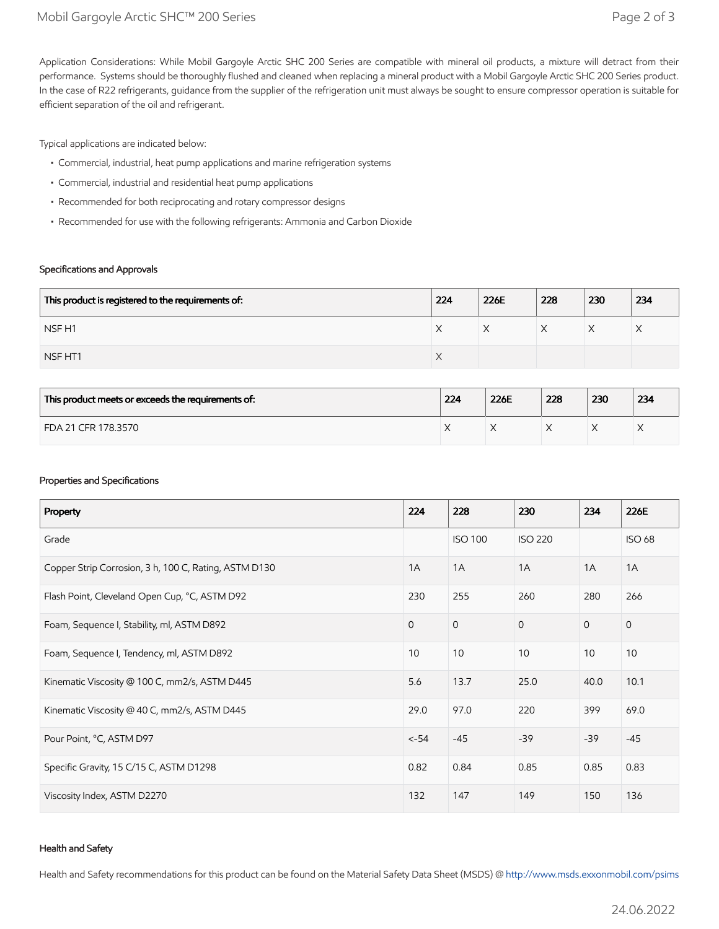Application Considerations: While Mobil Gargoyle Arctic SHC 200 Series are compatible with mineral oil products, a mixture will detract from their performance. Systems should be thoroughly flushed and cleaned when replacing a mineral product with a Mobil Gargoyle Arctic SHC 200 Series product. In the case of R22 refrigerants, guidance from the supplier of the refrigeration unit must always be sought to ensure compressor operation is suitable for efficient separation of the oil and refrigerant.

Typical applications are indicated below:

- Commercial, industrial, heat pump applications and marine refrigeration systems
- Commercial, industrial and residential heat pump applications
- Recommended for both reciprocating and rotary compressor designs
- Recommended for use with the following refrigerants: Ammonia and Carbon Dioxide

#### Specifications and Approvals

| This product is registered to the requirements of: | 224                | 226E | 228 | 230 | 234 |
|----------------------------------------------------|--------------------|------|-----|-----|-----|
| NSF <sub>H1</sub>                                  | ⌒                  | ∧    |     | ∧   | ⌒   |
| NSF HT1                                            | $\curvearrowright$ |      |     |     |     |

| This product meets or exceeds the requirements of: | 224 | 226E | 228 | 230 | 234 |
|----------------------------------------------------|-----|------|-----|-----|-----|
| FDA 21 CFR 178.3570                                |     |      |     |     | ⌒   |

#### Properties and Specifications

| Property                                              | 224          | 228            | 230            | 234          | 226E          |
|-------------------------------------------------------|--------------|----------------|----------------|--------------|---------------|
| Grade                                                 |              | <b>ISO 100</b> | <b>ISO 220</b> |              | <b>ISO 68</b> |
| Copper Strip Corrosion, 3 h, 100 C, Rating, ASTM D130 | 1A           | 1A             | 1A             | 1A           | 1A            |
| Flash Point, Cleveland Open Cup, °C, ASTM D92         | 230          | 255            | 260            | 280          | 266           |
| Foam, Sequence I, Stability, ml, ASTM D892            | $\mathbf{0}$ | $\mathbf{0}$   | $\overline{0}$ | $\mathbf{0}$ | $\mathbf{O}$  |
| Foam, Sequence I, Tendency, ml, ASTM D892             | 10           | 10             | 10             | 10           | 10            |
| Kinematic Viscosity @ 100 C, mm2/s, ASTM D445         | 5.6          | 13.7           | 25.0           | 40.0         | 10.1          |
| Kinematic Viscosity @ 40 C, mm2/s, ASTM D445          | 29.0         | 97.0           | 220            | 399          | 69.0          |
| Pour Point, °C, ASTM D97                              | $< -54$      | $-45$          | $-39$          | $-39$        | $-45$         |
| Specific Gravity, 15 C/15 C, ASTM D1298               | 0.82         | 0.84           | 0.85           | 0.85         | 0.83          |
| Viscosity Index, ASTM D2270                           | 132          | 147            | 149            | 150          | 136           |

#### Health and Safety

Health and Safety recommendations for this product can be found on the Material Safety Data Sheet (MSDS) @ [http://www.msds.exxonmobil.com/psims](http://www.msds.exxonmobil.com/psims/psims.aspx)